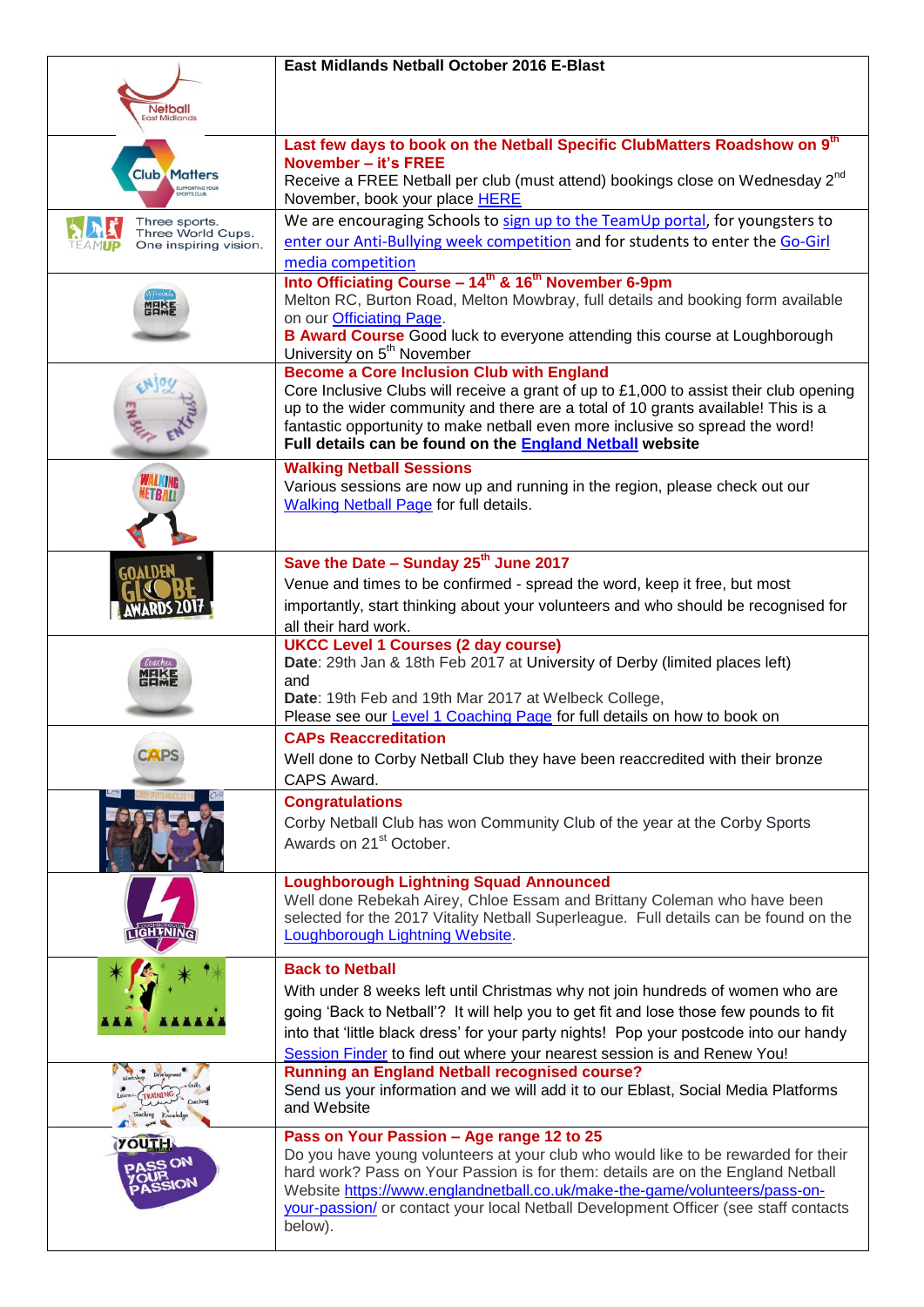|                                                             | East Midlands Netball October 2016 E-Blast                                                                                                                                                                                                                                                                                                           |
|-------------------------------------------------------------|------------------------------------------------------------------------------------------------------------------------------------------------------------------------------------------------------------------------------------------------------------------------------------------------------------------------------------------------------|
| <b>Netball</b><br><b>East Midlands</b>                      |                                                                                                                                                                                                                                                                                                                                                      |
| <b>Club Matters</b><br><b>SUPPORTING YOUR</b>               | Last few days to book on the Netball Specific ClubMatters Roadshow on 9 <sup>th</sup><br>November - it's FREE                                                                                                                                                                                                                                        |
|                                                             | Receive a FREE Netball per club (must attend) bookings close on Wednesday 2 <sup>nd</sup><br>November, book your place HERE                                                                                                                                                                                                                          |
| Three sports.<br>Three World Cups.<br>One inspiring vision. | We are encouraging Schools to sign up to the TeamUp portal, for youngsters to<br>enter our Anti-Bullying week competition and for students to enter the Go-Girl                                                                                                                                                                                      |
|                                                             | media competition                                                                                                                                                                                                                                                                                                                                    |
| <b>MEIKE</b>                                                | Into Officiating Course - 14 <sup>th</sup> & 16 <sup>th</sup> November 6-9pm<br>Melton RC, Burton Road, Melton Mowbray, full details and booking form available                                                                                                                                                                                      |
|                                                             | on our Officiating Page.<br>B Award Course Good luck to everyone attending this course at Loughborough<br>University on 5 <sup>th</sup> November                                                                                                                                                                                                     |
|                                                             | <b>Become a Core Inclusion Club with England</b>                                                                                                                                                                                                                                                                                                     |
|                                                             | Core Inclusive Clubs will receive a grant of up to $£1,000$ to assist their club opening<br>up to the wider community and there are a total of 10 grants available! This is a<br>fantastic opportunity to make netball even more inclusive so spread the word!<br>Full details can be found on the <b>England Netball</b> website                    |
|                                                             | <b>Walking Netball Sessions</b><br>Various sessions are now up and running in the region, please check out our<br><b>Walking Netball Page for full details.</b>                                                                                                                                                                                      |
|                                                             | Save the Date - Sunday 25 <sup>th</sup> June 2017                                                                                                                                                                                                                                                                                                    |
|                                                             | Venue and times to be confirmed - spread the word, keep it free, but most                                                                                                                                                                                                                                                                            |
|                                                             | importantly, start thinking about your volunteers and who should be recognised for                                                                                                                                                                                                                                                                   |
|                                                             | all their hard work.                                                                                                                                                                                                                                                                                                                                 |
|                                                             | <b>UKCC Level 1 Courses (2 day course)</b>                                                                                                                                                                                                                                                                                                           |
|                                                             | Date: 29th Jan & 18th Feb 2017 at University of Derby (limited places left)                                                                                                                                                                                                                                                                          |
|                                                             | and<br>Date: 19th Feb and 19th Mar 2017 at Welbeck College,                                                                                                                                                                                                                                                                                          |
|                                                             | Please see our Level 1 Coaching Page for full details on how to book on                                                                                                                                                                                                                                                                              |
|                                                             | <b>CAPs Reaccreditation</b>                                                                                                                                                                                                                                                                                                                          |
|                                                             | Well done to Corby Netball Club they have been reaccredited with their bronze                                                                                                                                                                                                                                                                        |
|                                                             | CAPS Award.                                                                                                                                                                                                                                                                                                                                          |
|                                                             | <b>Congratulations</b>                                                                                                                                                                                                                                                                                                                               |
|                                                             | Corby Netball Club has won Community Club of the year at the Corby Sports<br>Awards on 21 <sup>st</sup> October.                                                                                                                                                                                                                                     |
|                                                             | <b>Loughborough Lightning Squad Announced</b>                                                                                                                                                                                                                                                                                                        |
| <b>LIGHTNING</b>                                            | Well done Rebekah Airey, Chloe Essam and Brittany Coleman who have been<br>selected for the 2017 Vitality Netball Superleague. Full details can be found on the<br>Loughborough Lightning Website.                                                                                                                                                   |
|                                                             | <b>Back to Netball</b>                                                                                                                                                                                                                                                                                                                               |
|                                                             | With under 8 weeks left until Christmas why not join hundreds of women who are                                                                                                                                                                                                                                                                       |
|                                                             | going 'Back to Netball'? It will help you to get fit and lose those few pounds to fit                                                                                                                                                                                                                                                                |
|                                                             | into that 'little black dress' for your party nights! Pop your postcode into our handy<br>Session Finder to find out where your nearest session is and Renew You!                                                                                                                                                                                    |
|                                                             | <b>Running an England Netball recognised course?</b><br>Send us your information and we will add it to our Eblast, Social Media Platforms<br>and Website                                                                                                                                                                                             |
| <b>YOUTH</b>                                                | Pass on Your Passion - Age range 12 to 25                                                                                                                                                                                                                                                                                                            |
|                                                             | Do you have young volunteers at your club who would like to be rewarded for their<br>hard work? Pass on Your Passion is for them: details are on the England Netball<br>Website https://www.englandnetball.co.uk/make-the-game/volunteers/pass-on-<br>your-passion/ or contact your local Netball Development Officer (see staff contacts<br>below). |
|                                                             |                                                                                                                                                                                                                                                                                                                                                      |